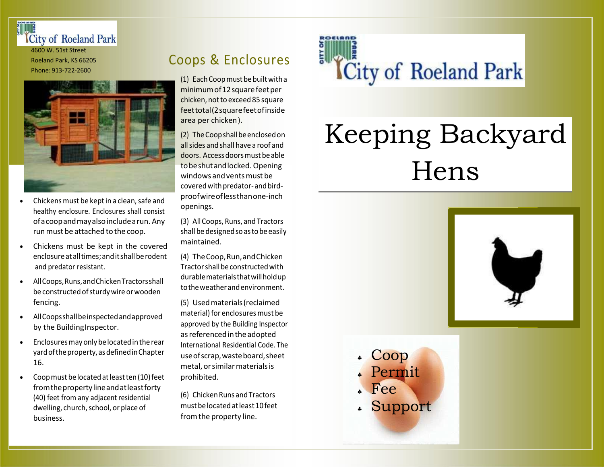

Roeland Park, KS 66205 Phone: 913-722-2600



- Chickens must be kept in a clean, safe and healthy enclosure. Enclosures shall consist ofacoopandmayalsoincludearun. Any run must be attached to the coop.
- Chickens must be kept in the covered enclosureatalltimes;anditshallberodent and predator resistant.
- AllCoops,Runs,andChickenTractorsshall be constructed of sturdy wire or wooden fencing.
- AllCoopsshallbeinspectedandapproved by the Building Inspector.
- Enclosures may only be located in the rear yardoftheproperty,asdefinedinChapter 16.
- $\bullet$  Coop must be located at least ten (10) feet fromthepropertylineandatleastforty (40) feet from any adjacent residential dwelling, church, school, or place of business.

## Coops & Enclosures

(1) Each Coop must be built with a minimum of 12 square feet per chicken, not to exceed 85 square feettotal(2squarefeetofinside area per chicken).

(2) TheCoopshallbeenclosedon allsides and shall have a roof and doors. Access doors must be able tobeshutandlocked. Opening windows andventsmust be covered with predator-and birdproofwireoflessthanone-inch openings.

(3) All Coops, Runs, and Tractors shall be designed so as to be easily maintained.

(4) TheCoop,Run,andChicken Tractorshallbeconstructedwith durablematerialsthatwillholdup totheweatherandenvironment.

(5) Usedmaterials(reclaimed material) for enclosures must be approved by the Building Inspector asreferencedintheadopted International Residential Code. The useofscrap,wasteboard,sheet metal, orsimilarmaterialsis prohibited.

(6) ChickenRuns andTractors mustbelocatedatleast10feet fromthe property line.

**ICity of Roeland Park** 

Coop

Fee

Permit

Support

# Keeping Backyard Hens